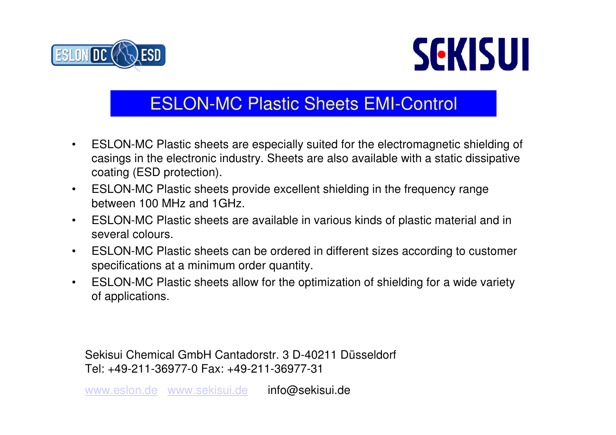



## ESLON-MC Plastic Sheets EMI-Control

- $\bullet$  ESLON-MC Plastic sheets are especially suited for the electromagnetic shielding of casings in the electronic industry. Sheets are also available with a static dissipative coating (ESD protection).
- $\bullet$  ESLON-MC Plastic sheets provide excellent shielding in the frequency rangebetween 100 MHz and 1GHz.
- • ESLON-MC Plastic sheets are available in various kinds of plastic material and in several colours.
- $\bullet$  ESLON-MC Plastic sheets can be ordered in different sizes according to customerspecifications at a minimum order quantity.
- $\bullet$  ESLON-MC Plastic sheets allow for the optimization of shielding for a wide varietyof applications.

Sekisui Chemical GmbH Cantadorstr. 3 D-40211 Düsseldorf Tel: +49-211-36977-0 Fax: +49-211-36977-31

<u>www.eslon.de www.sekisui.de</u> <mark>info@sekisui.de</mark>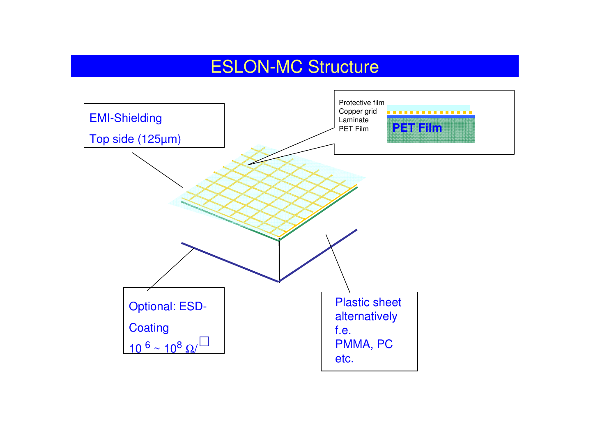### ESLON-MC Structure

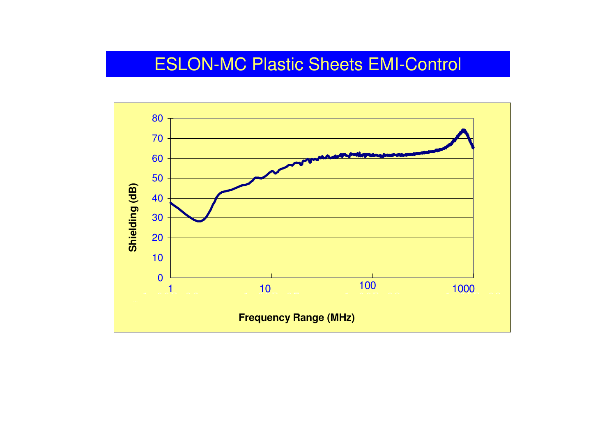#### ESLON-MC Plastic Sheets EMI-Control

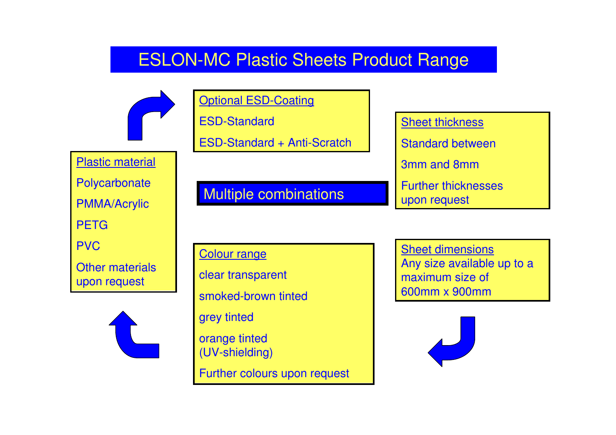#### ESLON-MC Plastic Sheets Product Range



**Optional ESD-Coating** 

ESD-Standard

ESD-Standard + Anti-Scratch

Plastic material

**Polycarbonate** 

PMMA/Acrylic

PETG

PVC

Other materialsupon request



Multiple combinations

Colour rangeclear transparent smoked-brown tintedgrey tintedorange tinted (UV-shielding)Further colours upon request

**Sheet thickness** Standard between3mm and 8mmFurther thicknessesupon request

**Sheet dimensions**  Any size available up to a maximum size of 600mm x 900mm

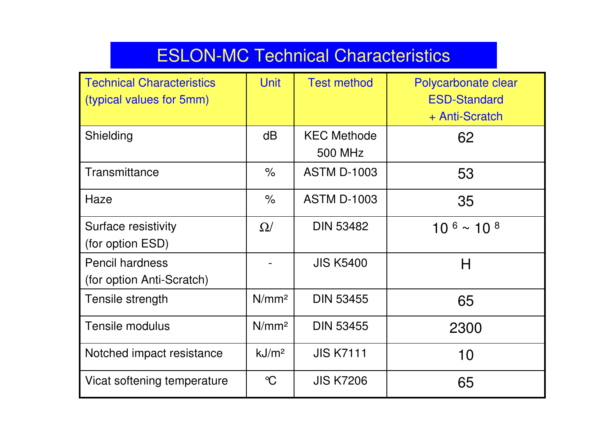# ESLON-MC Technical Characteristics

| <b>Technical Characteristics</b><br>(typical values for 5mm) | <b>Unit</b>          | <b>Test method</b>            | Polycarbonate clear<br><b>ESD-Standard</b><br>+ Anti-Scratch |
|--------------------------------------------------------------|----------------------|-------------------------------|--------------------------------------------------------------|
| Shielding                                                    | dB                   | <b>KEC Methode</b><br>500 MHz | 62                                                           |
| Transmittance                                                | $\frac{1}{\sqrt{2}}$ | <b>ASTM D-1003</b>            | 53                                                           |
| Haze                                                         | $\%$                 | <b>ASTM D-1003</b>            | 35                                                           |
| Surface resistivity<br>(for option ESD)                      | $\Omega/$            | <b>DIN 53482</b>              | $10^{6}$ ~ 10 $^{8}$                                         |
| <b>Pencil hardness</b><br>(for option Anti-Scratch)          |                      | <b>JIS K5400</b>              | H                                                            |
| Tensile strength                                             | N/mm <sup>2</sup>    | <b>DIN 53455</b>              | 65                                                           |
| <b>Tensile modulus</b>                                       | N/mm <sup>2</sup>    | <b>DIN 53455</b>              | 2300                                                         |
| Notched impact resistance                                    | kJ/m <sup>2</sup>    | <b>JIS K7111</b>              | 10                                                           |
| Vicat softening temperature                                  | $\mathrm{C}$         | <b>JIS K7206</b>              | 65                                                           |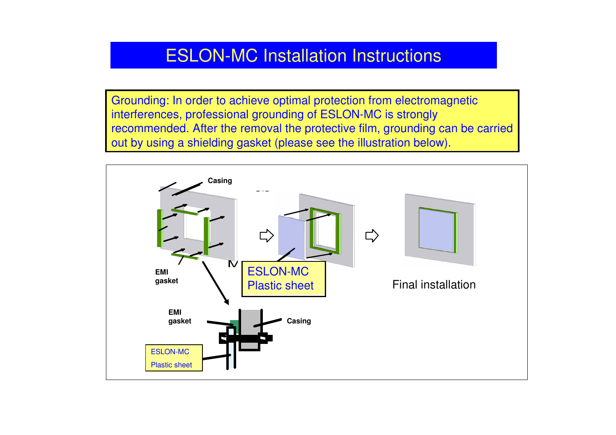#### ESLON-MC Installation Instructions

Grounding: In order to achieve optimal protection from electromagneticinterferences, professional grounding of ESLON-MC is strongly recommended. After the removal the protective film, grounding can be carriedout by using a shielding gasket (please see the illustration below).